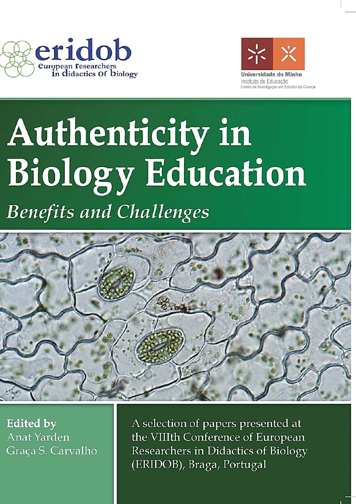



# Authenticity in **Biology Education**

**Benefits and Challenges** 



**Edited by Anat Yarden** Graça S. Carvalho A selection of papers presented at the VIIIth Conference of European Researchers in Didactics of Biology (ERIDOB), Braga, Portugal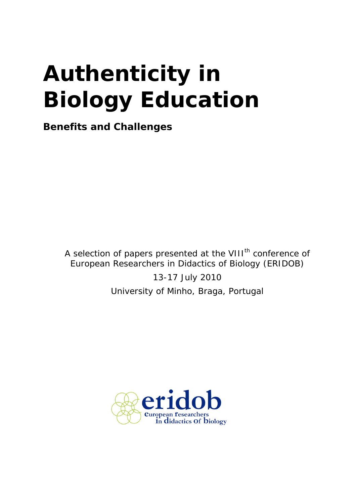# **Authenticity in Biology Education**

*Benefits and Challenges* 

A selection of papers presented at the VIII<sup>th</sup> conference of European Researchers in Didactics of Biology (ERIDOB)

> 13-17 July 2010 University of Minho, Braga, Portugal

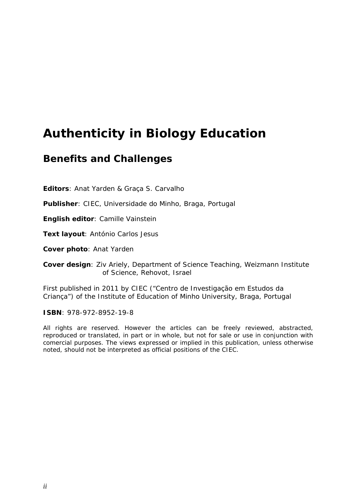### **Authenticity in Biology Education**

#### *Benefits and Challenges*

**Editors**: Anat Yarden & Graça S. Carvalho

**Publisher**: CIEC, Universidade do Minho, Braga, Portugal

**English editor**: Camille Vainstein

**Text layout**: António Carlos Jesus

**Cover photo**: Anat Yarden

**Cover design**: Ziv Ariely, Department of Science Teaching, Weizmann Institute of Science, Rehovot, Israel

First published in 2011 by CIEC ("Centro de Investigação em Estudos da Criança") of the Institute of Education of Minho University, Braga, Portugal

**ISBN**: 978-972-8952-19-8

All rights are reserved. However the articles can be freely reviewed, abstracted, reproduced or translated, in part or in whole, but not for sale or use in conjunction with comercial purposes. The views expressed or implied in this publication, unless otherwise noted, should not be interpreted as official positions of the CIEC.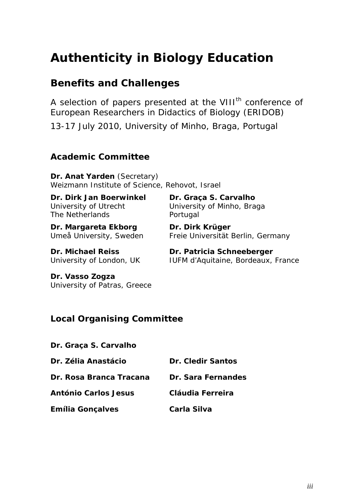## **Authenticity in Biology Education**

#### *Benefits and Challenges*

A selection of papers presented at the VIII<sup>th</sup> conference of European Researchers in Didactics of Biology (ERIDOB) 13-17 July 2010, University of Minho, Braga, Portugal

#### **Academic Committee**

**Dr. Anat Yarden** (Secretary) Weizmann Institute of Science, Rehovot, Israel

**Dr. Dirk Jan Boerwinkel**  University of Utrecht The Netherlands

**Dr. Margareta Ekborg** Umeå University, Sweden **Dr. Graça S. Carvalho**  University of Minho, Braga Portugal

**Dr. Dirk Krüger** Freie Universität Berlin, Germany

**Dr. Michael Reiss** University of London, UK **Dr. Patricia Schneeberger** IUFM d'Aquitaine, Bordeaux, France

**Dr. Vasso Zogza** University of Patras, Greece

#### **Local Organising Committee**

| Dr. Zélia Anastácio         | <b>Dr. Cledir Santos</b> |
|-----------------------------|--------------------------|
| Dr. Rosa Branca Tracana     | Dr. Sara Fernandes       |
| <b>António Carlos Jesus</b> | Cláudia Ferreira         |
| <b>Emília Gonçalves</b>     | Carla Silva              |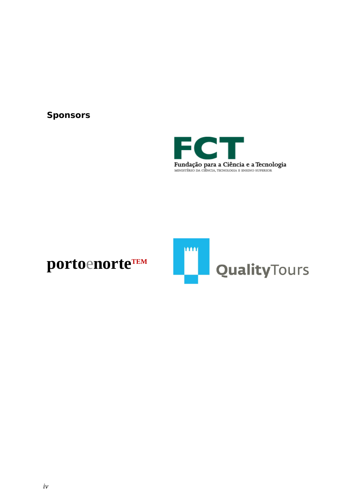#### **Sponsors**



# portoenorteTEM

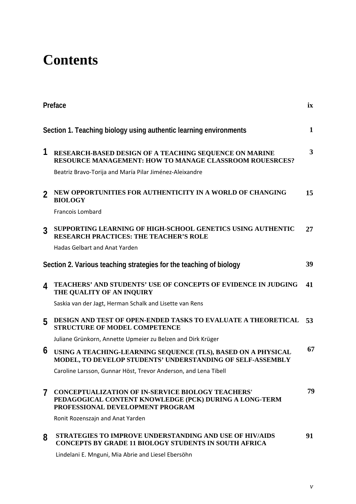# **Contents**

|                | Preface<br>ix                                                                                                                                          |              |
|----------------|--------------------------------------------------------------------------------------------------------------------------------------------------------|--------------|
|                | Section 1. Teaching biology using authentic learning environments                                                                                      | $\mathbf{1}$ |
| 1              | RESEARCH-BASED DESIGN OF A TEACHING SEQUENCE ON MARINE<br><b>RESOURCE MANAGEMENT: HOW TO MANAGE CLASSROOM ROUESRCES?</b>                               | 3            |
|                | Beatriz Bravo-Torija and María Pilar Jiménez-Aleixandre                                                                                                |              |
| $\overline{2}$ | NEW OPPORTUNITIES FOR AUTHENTICITY IN A WORLD OF CHANGING<br><b>BIOLOGY</b>                                                                            | 15           |
|                | Francois Lombard                                                                                                                                       |              |
| 3              | SUPPORTING LEARNING OF HIGH-SCHOOL GENETICS USING AUTHENTIC<br><b>RESEARCH PRACTICES: THE TEACHER'S ROLE</b>                                           | 27           |
|                | <b>Hadas Gelbart and Anat Yarden</b>                                                                                                                   |              |
|                | Section 2. Various teaching strategies for the teaching of biology                                                                                     | 39           |
| 4              | TEACHERS' AND STUDENTS' USE OF CONCEPTS OF EVIDENCE IN JUDGING<br>THE QUALITY OF AN INQUIRY                                                            | 41           |
|                | Saskia van der Jagt, Herman Schalk and Lisette van Rens                                                                                                |              |
| 5              | DESIGN AND TEST OF OPEN-ENDED TASKS TO EVALUATE A THEORETICAL<br><b>STRUCTURE OF MODEL COMPETENCE</b>                                                  | 53           |
|                | Juliane Grünkorn, Annette Upmeier zu Belzen and Dirk Krüger                                                                                            |              |
| 6              | USING A TEACHING-LEARNING SEQUENCE (TLS), BASED ON A PHYSICAL<br>MODEL, TO DEVELOP STUDENTS' UNDERSTANDING OF SELF-ASSEMBLY                            | 67           |
|                | Caroline Larsson, Gunnar Höst, Trevor Anderson, and Lena Tibell                                                                                        |              |
| $\overline{7}$ | <b>CONCEPTUALIZATION OF IN-SERVICE BIOLOGY TEACHERS'</b><br>PEDAGOGICAL CONTENT KNOWLEDGE (PCK) DURING A LONG-TERM<br>PROFESSIONAL DEVELOPMENT PROGRAM | 79           |
|                | Ronit Rozenszajn and Anat Yarden                                                                                                                       |              |
| 8              | <b>STRATEGIES TO IMPROVE UNDERSTANDING AND USE OF HIV/AIDS</b><br>CONCEPTS BY GRADE 11 BIOLOGY STUDENTS IN SOUTH AFRICA                                | 91           |
|                | Lindelani E. Mnguni, Mia Abrie and Liesel Ebersöhn                                                                                                     |              |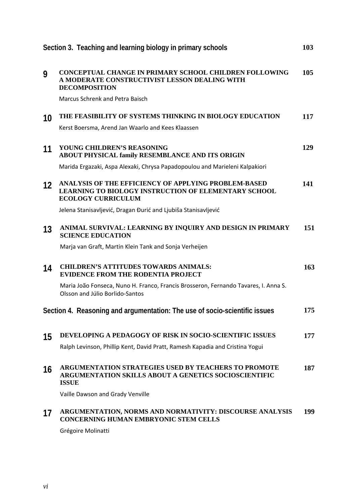| Section 3. Teaching and learning biology in primary schools                |                                                                                                                                                  | 103 |
|----------------------------------------------------------------------------|--------------------------------------------------------------------------------------------------------------------------------------------------|-----|
| 9                                                                          | <b>CONCEPTUAL CHANGE IN PRIMARY SCHOOL CHILDREN FOLLOWING</b><br>A MODERATE CONSTRUCTIVIST LESSON DEALING WITH<br><b>DECOMPOSITION</b>           | 105 |
|                                                                            | Marcus Schrenk and Petra Baisch                                                                                                                  |     |
| 10                                                                         | THE FEASIBILITY OF SYSTEMS THINKING IN BIOLOGY EDUCATION                                                                                         | 117 |
|                                                                            | Kerst Boersma, Arend Jan Waarlo and Kees Klaassen                                                                                                |     |
| 11                                                                         | YOUNG CHILDREN'S REASONING<br>ABOUT PHYSICAL family RESEMBLANCE AND ITS ORIGIN                                                                   | 129 |
|                                                                            | Marida Ergazaki, Aspa Alexaki, Chrysa Papadopoulou and Marieleni Kalpakiori                                                                      |     |
| $12 \overline{ }$                                                          | ANALYSIS OF THE EFFICIENCY OF APPLYING PROBLEM-BASED<br><b>LEARNING TO BIOLOGY INSTRUCTION OF ELEMENTARY SCHOOL</b><br><b>ECOLOGY CURRICULUM</b> | 141 |
|                                                                            | Jelena Stanisavljević, Dragan Đurić and Ljubiša Stanisavljević                                                                                   |     |
| 13                                                                         | ANIMAL SURVIVAL: LEARNING BY INQUIRY AND DESIGN IN PRIMARY<br><b>SCIENCE EDUCATION</b>                                                           | 151 |
|                                                                            | Marja van Graft, Martin Klein Tank and Sonja Verheijen                                                                                           |     |
| 14                                                                         | <b>CHILDREN'S ATTITUDES TOWARDS ANIMALS:</b><br><b>EVIDENCE FROM THE RODENTIA PROJECT</b>                                                        | 163 |
|                                                                            | Maria João Fonseca, Nuno H. Franco, Francis Brosseron, Fernando Tavares, I. Anna S.<br>Olsson and Júlio Borlido-Santos                           |     |
| Section 4. Reasoning and argumentation: The use of socio-scientific issues |                                                                                                                                                  | 175 |
| 15                                                                         | <b>DEVELOPING A PEDAGOGY OF RISK IN SOCIO-SCIENTIFIC ISSUES</b>                                                                                  | 177 |
|                                                                            | Ralph Levinson, Phillip Kent, David Pratt, Ramesh Kapadia and Cristina Yogui                                                                     |     |
| 16                                                                         | ARGUMENTATION STRATEGIES USED BY TEACHERS TO PROMOTE<br><b>ARGUMENTATION SKILLS ABOUT A GENETICS SOCIOSCIENTIFIC</b><br><b>ISSUE</b>             | 187 |
|                                                                            | Vaille Dawson and Grady Venville                                                                                                                 |     |
| 17                                                                         | ARGUMENTATION, NORMS AND NORMATIVITY: DISCOURSE ANALYSIS<br><b>CONCERNING HUMAN EMBRYONIC STEM CELLS</b>                                         | 199 |

Grégoire Molinatti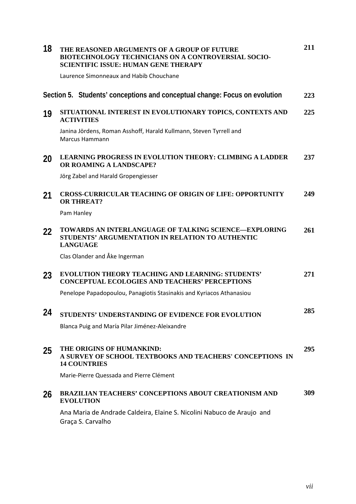| 18 | THE REASONED ARGUMENTS OF A GROUP OF FUTURE<br><b>BIOTECHNOLOGY TECHNICIANS ON A CONTROVERSIAL SOCIO-</b><br><b>SCIENTIFIC ISSUE: HUMAN GENE THERAPY</b> | 211 |
|----|----------------------------------------------------------------------------------------------------------------------------------------------------------|-----|
|    | Laurence Simonneaux and Habib Chouchane                                                                                                                  |     |
|    | Section 5. Students' conceptions and conceptual change: Focus on evolution                                                                               | 223 |
| 19 | SITUATIONAL INTEREST IN EVOLUTIONARY TOPICS, CONTEXTS AND<br><b>ACTIVITIES</b>                                                                           | 225 |
|    | Janina Jördens, Roman Asshoff, Harald Kullmann, Steven Tyrrell and<br><b>Marcus Hammann</b>                                                              |     |
| 20 | <b>LEARNING PROGRESS IN EVOLUTION THEORY: CLIMBING A LADDER</b><br>OR ROAMING A LANDSCAPE?                                                               | 237 |
|    | Jörg Zabel and Harald Gropengiesser                                                                                                                      |     |
| 21 | <b>CROSS-CURRICULAR TEACHING OF ORIGIN OF LIFE: OPPORTUNITY</b><br><b>OR THREAT?</b>                                                                     | 249 |
|    | Pam Hanley                                                                                                                                               |     |
| 22 | TOWARDS AN INTERLANGUAGE OF TALKING SCIENCE—EXPLORING<br>STUDENTS' ARGUMENTATION IN RELATION TO AUTHENTIC<br><b>LANGUAGE</b>                             | 261 |
|    | Clas Olander and Åke Ingerman                                                                                                                            |     |
| 23 | <b>EVOLUTION THEORY TEACHING AND LEARNING: STUDENTS'</b><br><b>CONCEPTUAL ECOLOGIES AND TEACHERS' PERCEPTIONS</b>                                        | 271 |
|    | Penelope Papadopoulou, Panagiotis Stasinakis and Kyriacos Athanasiou                                                                                     |     |
| 24 | STUDENTS' UNDERSTANDING OF EVIDENCE FOR EVOLUTION                                                                                                        | 285 |
|    | Blanca Puig and María Pilar Jiménez-Aleixandre                                                                                                           |     |
| 25 | THE ORIGINS OF HUMANKIND:<br>A SURVEY OF SCHOOL TEXTBOOKS AND TEACHERS' CONCEPTIONS IN<br><b>14 COUNTRIES</b>                                            | 295 |
|    | Marie-Pierre Quessada and Pierre Clément                                                                                                                 |     |
| 26 | <b>BRAZILIAN TEACHERS' CONCEPTIONS ABOUT CREATIONISM AND</b><br><b>EVOLUTION</b>                                                                         | 309 |
|    | Ana Maria de Andrade Caldeira, Elaine S. Nicolini Nabuco de Araujo and<br>Graça S. Carvalho                                                              |     |
|    |                                                                                                                                                          |     |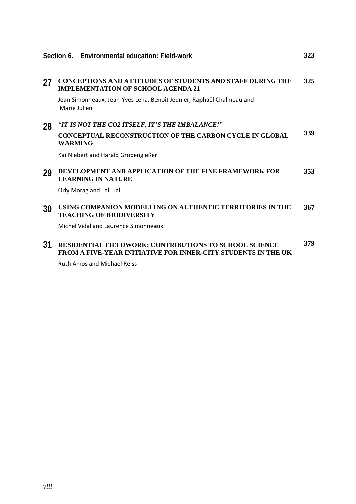|    | Section 6. Environmental education: Field-work                                                                 | 323 |
|----|----------------------------------------------------------------------------------------------------------------|-----|
| 27 | <b>CONCEPTIONS AND ATTITUDES OF STUDENTS AND STAFF DURING THE</b><br><b>IMPLEMENTATION OF SCHOOL AGENDA 21</b> | 325 |
|    | Jean Simonneaux, Jean-Yves Lena, Benoît Jeunier, Raphaël Chalmeau and<br>Marie Julien                          |     |
| 28 | "IT IS NOT THE CO2 ITSELF, IT'S THE IMBALANCE!"                                                                |     |
|    | <b>CONCEPTUAL RECONSTRUCTION OF THE CARBON CYCLE IN GLOBAL</b><br><b>WARMING</b>                               | 339 |
|    | Kai Niebert and Harald Gropengießer                                                                            |     |
| 29 | DEVELOPMENT AND APPLICATION OF THE FINE FRAMEWORK FOR<br><b>LEARNING IN NATURE</b>                             | 353 |
|    | Orly Morag and Tali Tal                                                                                        |     |
| 30 | USING COMPANION MODELLING ON AUTHENTIC TERRITORIES IN THE<br><b>TEACHING OF BIODIVERSITY</b>                   | 367 |
|    | Michel Vidal and Laurence Simonneaux                                                                           |     |
| 31 | RESIDENTIAL FIELDWORK: CONTRIBUTIONS TO SCHOOL SCIENCE                                                         | 379 |

**FROM A FIVE-YEAR INITIATIVE FOR INNER-CITY STUDENTS IN THE UK** Ruth Amos and Michael Reiss